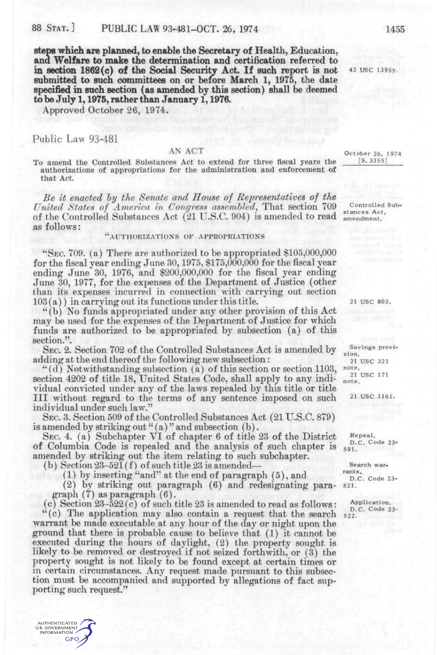**steps which are planned, to enable the Secretary of Health, Education, and Welfare to make the determination and certification referred to in section 1862(c) of the Social Security Act. If such report is not submitted to such committees on or before March 1, 1975,** the **date specified in such section (as amended by this section) shall be deemed to be July 1,1975, rather than January 1,1976.** 

Approved October 26, 1974.

## Public Law 93-481

**AUTHENTICATED** U.S. GOVERNMENT INFORMATION **GPO** 

### AN ACT

To amend the Controlled Substances Act to extend for three fiscal years the authorizations of appropriations for the administration and enforcement of that Act.

*Be it enacted hy the Senate and House of Representatives of the United: States of America in Congress assembled.,* That section 709 of the Controlled Substances Act (21 U.S.C. 904) is amended to read as follows:

# "AUTHORIZATIONS or APPROPRIATIONS

"SEC. 709. (a) There are authorized to be appropriated \$105,000,000 for the fiscal year ending June 30,1975, \$175,000,000 for the fiscal year ending June 30, 1976, and \$200,000,000 for the fiscal year ending June 30, 1977, for the expenses of the Department of Justice (other than its expenses incurred in connection with carrying out section 103 (a)) in carrying out its functions under this title.

"(b) No funds appropriated under any other provision of this Act may be used for the expenses of the Department of Justice for which funds are authorized to be appropriated by subsection (a) of this section.".

SEC. 2. Section 702 of the Controlled Substances Act is amended by adding at the end thereof the following new subsection:

"(d) Notwithstanding subsection (a) of this section or section 1103, section 4202 of title 18, United States Code, shall apply to any individual convicted under any of the laws repealed by this title or title III without regard to the terms of any sentence imposed on such individual under such law."

SEC. 3. Section 509 of the Controlled Substances Act (21 U.S.C. 879) is amended by striking out " $(a)$ " and subsection  $(b)$ .

SEC. 4. (a) Subchapter VI of chapter 6 of title 23 of the District of Columbia Code is repealed and the analysis of such chapter is amended by striking out the item relating to such subchapter.

(b) Section  $23-521(f)$  of such title  $23$  is amended-

(1) by inserting "and" at the end of paragraph (5), and

(2) by striking out paragraph (6) and redesignating paragraph (7) as paragraph (6).

(c) Section 23-522(c) of such title 23 is amended to read as follows: "(c) The application may also contain a request that the search warrant be made executable at any hour of the day or night upon the ground that there is probable cause to believe that (1) it cannot be executed during the hours of daylight, (2) the property sought is likely to be removed or destroyed if not seized forthwith, or (3) the property sought is not likely to be found except at certain times or in certain circumstances. Any request made pursuant to this subsection must be accompanied and supported by allegations of fact supporting such request."

21 USC 803.

Savings provision. 21 USC 321 note. 21 USC 171 note.

21 USC 1161.

Repeal. D.C. Code 23-591.

Search warrants. D.C. Code 23-521.

Application. D.C. Code 23-522.

42 USC 1395v.

October 26, 1974 [S.3355]

Controlled Substances Act, amendment.